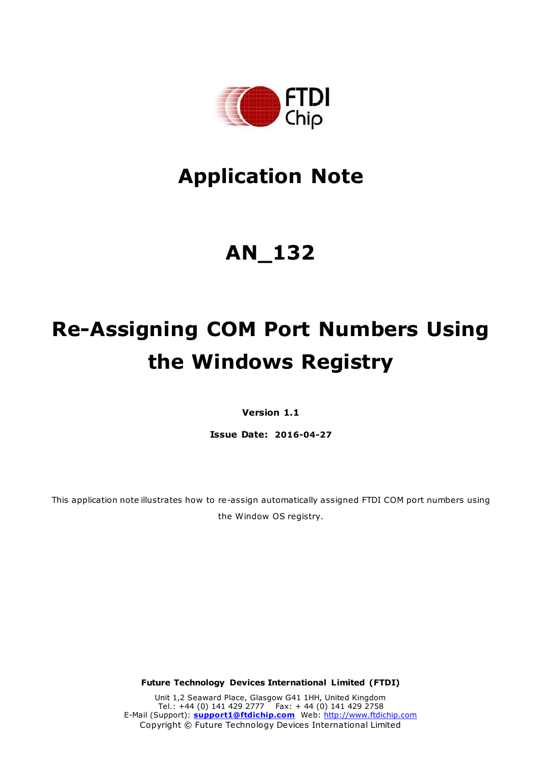

# **Application Note**

# **AN\_132**

# **Re-Assigning COM Port Numbers Using the Windows Registry**

**Version 1.1**

**Issue Date: 2016-04-27**

This application note illustrates how to re-assign automatically assigned FTDI COM port numbers using the Window OS registry.

**Future Technology Devices International Limited (FTDI)**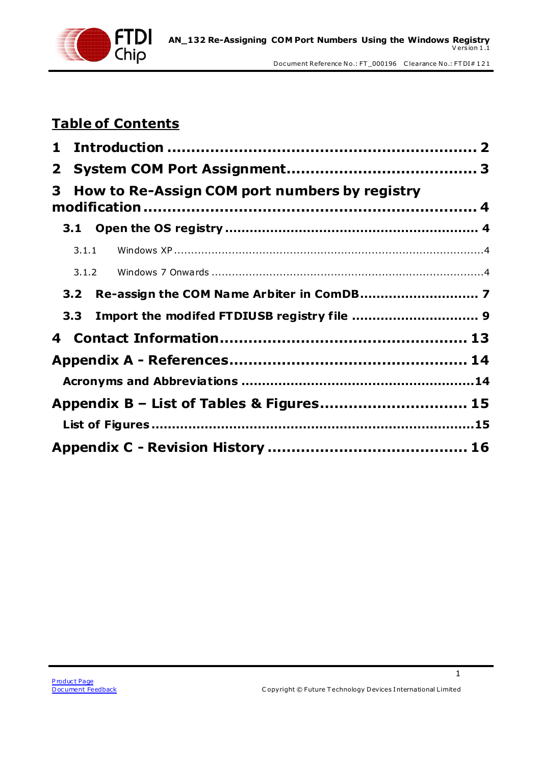

## **Table of Contents**

| $\mathbf{2}$ |                                                 |  |
|--------------|-------------------------------------------------|--|
| 3            | How to Re-Assign COM port numbers by registry   |  |
|              |                                                 |  |
|              |                                                 |  |
|              |                                                 |  |
|              |                                                 |  |
|              | 3.3 Import the modifed FTDIUSB registry file  9 |  |
|              |                                                 |  |
|              |                                                 |  |
|              |                                                 |  |
|              | Appendix B – List of Tables & Figures 15        |  |
|              |                                                 |  |
|              |                                                 |  |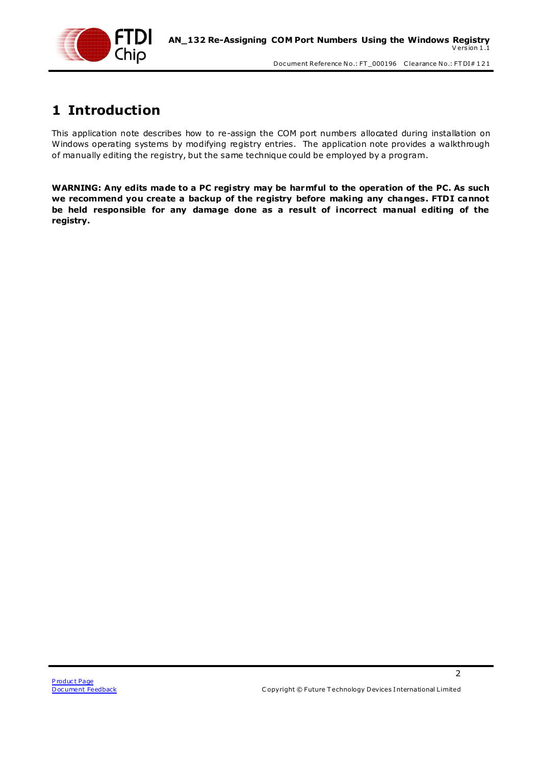

## <span id="page-2-0"></span>**1 Introduction**

This application note describes how to re-assign the COM port numbers allocated during installation on Windows operating systems by modifying registry entries. The application note provides a walkthrough of manually editing the registry, but the same technique could be employed by a program.

**WARNING: Any edits made to a PC registry may be harmful to the operation of the PC. As such we recommend you create a backup of the registry before making any changes. FTDI cannot be held responsible for any damage done as a result of incorrect manual editing of the registry.**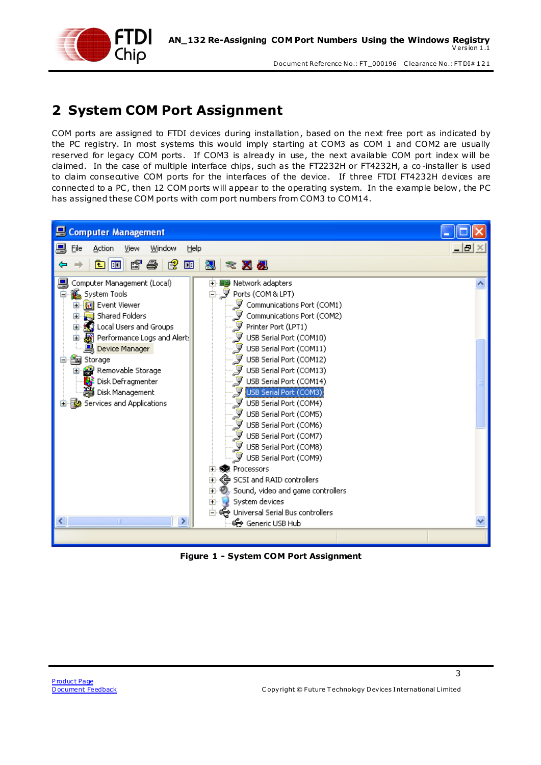

## <span id="page-3-0"></span>**2 System COM Port Assignment**

COM ports are assigned to FTDI devices during installation, based on the next free port as indicated by the PC registry. In most systems this would imply starting at COM3 as COM 1 and COM2 are usually reserved for legacy COM ports. If COM3 is already in use, the next available COM port index will be claimed. In the case of multiple interface chips, such as the FT2232H or FT4232H, a co -installer is used to claim consecutive COM ports for the interfaces of the device. If three FTDI FT4232H devices are connected to a PC, then 12 COM ports will appear to the operating system. In the example below, the PC has assigned these COM ports with com port numbers from COM3 to COM14.



<span id="page-3-1"></span>**Figure 1 - System COM Port Assignment**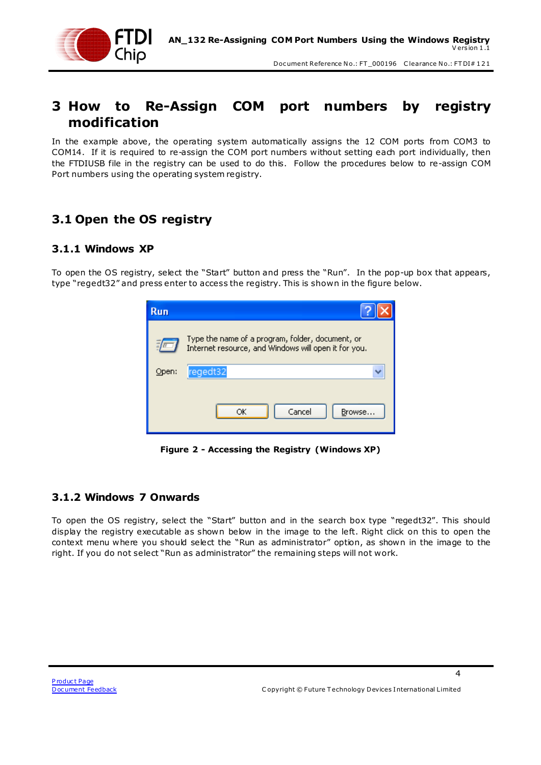

### <span id="page-4-0"></span>**3 How to Re-Assign COM port numbers by registry modification**

In the example above, the operating system automatically assigns the 12 COM ports from COM3 to COM14. If it is required to re-assign the COM port numbers without setting each port individually, then the FTDIUSB file in the registry can be used to do this. Follow the procedures below to re-assign COM Port numbers using the operating system registry.

### <span id="page-4-1"></span>**3.1 Open the OS registry**

#### <span id="page-4-2"></span>**3.1.1 Windows XP**

To open the OS registry, select the "Start" button and press the "Run". In the pop-up box that appears, type "regedt32" and press enter to access the registry. This is shown in the figure below.



**Figure 2 - Accessing the Registry (Windows XP)**

#### <span id="page-4-4"></span><span id="page-4-3"></span>**3.1.2 Windows 7 Onwards**

To open the OS registry, select the "Start" button and in the search box type "regedt32". This should display the registry executable as shown below in the image to the left. Right click on this to open the context menu where you should select the "Run as administrator" option, as shown in the image to the right. If you do not select "Run as administrator" the remaining steps will not work.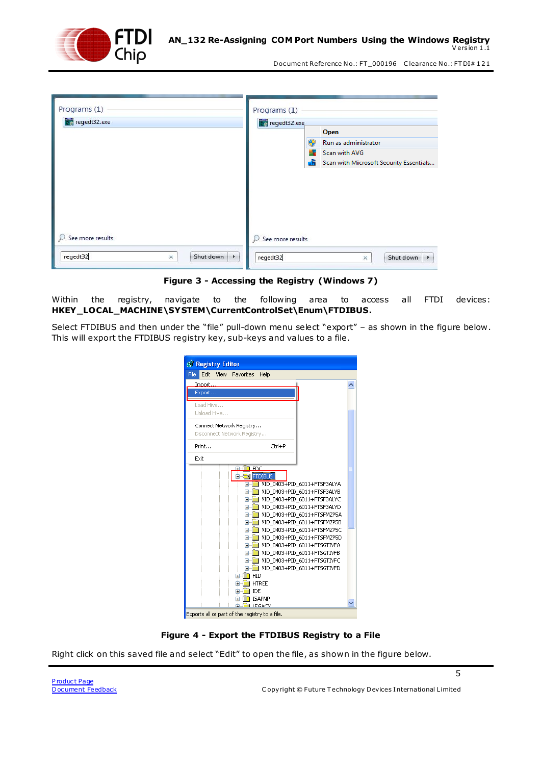

| Programs (1)<br>Programs (1)            |                                                    |
|-----------------------------------------|----------------------------------------------------|
| regedt32.exe                            | regedt32.exe                                       |
|                                         | Open                                               |
|                                         | Run as administrator                               |
|                                         | Scan with AVG                                      |
|                                         | Scan with Microsoft Security Essentials            |
| See more results                        | See more results                                   |
| regedt32<br>Shut down<br>$\times$<br>Þ. | regedt32<br>Shut down<br>$\times$<br>$\rightarrow$ |

**Figure 3 - Accessing the Registry (Windows 7)**

<span id="page-5-0"></span>Within the registry, navigate to the following area to access all FTDI devices: **HKEY\_LOCAL\_MACHINE\SYSTEM\CurrentControlSet\Enum\FTDIBUS.**

Select FTDIBUS and then under the "file" pull-down menu select "export" – as shown in the figure below . This will export the FTDIBUS registry key, sub-keys and values to a file.

| File<br>Edit<br>View        | Favorites<br>Help            |                                                            |  |
|-----------------------------|------------------------------|------------------------------------------------------------|--|
| Import                      |                              |                                                            |  |
| Export                      |                              |                                                            |  |
|                             |                              |                                                            |  |
| Load Hive                   |                              |                                                            |  |
| Unload Hive                 |                              |                                                            |  |
| Connect Network Registry    |                              |                                                            |  |
| Disconnect Network Registry |                              |                                                            |  |
|                             |                              |                                                            |  |
| Print                       | Ctrl+P                       |                                                            |  |
| Exit                        |                              |                                                            |  |
| ∓                           | FDC                          |                                                            |  |
|                             | <b>FIDIBUS</b>               |                                                            |  |
|                             | ⊞                            | VID 0403+PID 6011+FTSF3ALYA                                |  |
|                             | $\mathbf{H}$                 | VID 0403+PID 6011+FTSF3ALYB                                |  |
|                             | $\mathbf \mathbf \Xi$        | VID 0403+PID 6011+FTSF3ALYC                                |  |
|                             | Œ                            | VID 0403+PID 6011+FTSF3ALYD                                |  |
|                             | $\mathbf \mathbf \Xi$        | VID_0403+PID_6011+FTSFMZP5A                                |  |
|                             | $\mathbf{H}$                 | VID 0403+PID 6011+FTSFMZP5B                                |  |
|                             |                              | VID 0403+PID 6011+FTSFMZP5C                                |  |
|                             | $\mathbf{H}$<br>$\mathbf{H}$ | VID 0403+PID 6011+FTSFMZP5D<br>VID 0403+PID 6011+FTSGTIVFA |  |
|                             | 田                            | VID 0403+PID 6011+FTSGTIVFB                                |  |
|                             | $\pm$                        | VID 0403+PID 6011+FTSGTIVFC                                |  |
|                             |                              | E-CO VID 0403+PID 6011+FTSGTIVFD                           |  |
| 田…                          | $\blacksquare$ HID           |                                                            |  |
| ⊞…                          | <b>HTREE</b>                 |                                                            |  |
|                             | <b>I</b> IDE<br>田山崎          |                                                            |  |
| Ŧ                           | <b>ISAPNP</b>                |                                                            |  |

**Figure 4 - Export the FTDIBUS Registry to a File**

<span id="page-5-1"></span>Right click on this saved file and select "Edit" to open the file, as shown in the figure below.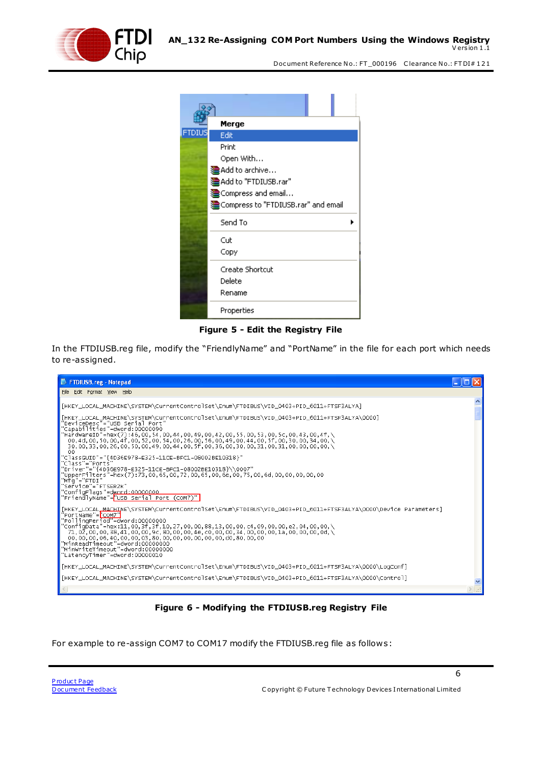

|        | Merge                                |  |
|--------|--------------------------------------|--|
| FTDIUS | Edit                                 |  |
|        | Print                                |  |
|        | Open With                            |  |
|        | 建Add to archive                      |  |
|        | dead to "FTDIUSB.rar"                |  |
|        | Compress and email                   |  |
|        | 建Compress to "FTDIUSB.rar" and email |  |
|        | Send To                              |  |
|        | Cut                                  |  |
|        | Copy                                 |  |
|        | Create Shortcut                      |  |
|        | Delete                               |  |
|        | Rename                               |  |
|        | Properties                           |  |

**Figure 5 - Edit the Registry File**

<span id="page-6-0"></span>In the FTDIUSB.reg file, modify the "FriendlyName" and "PortName" in the file for each port which needs to re-assigned.



**Figure 6 - Modifying the FTDIUSB.reg Registry File**

<span id="page-6-1"></span>For example to re-assign COM7 to COM17 modify the FTDIUSB.reg file as follows: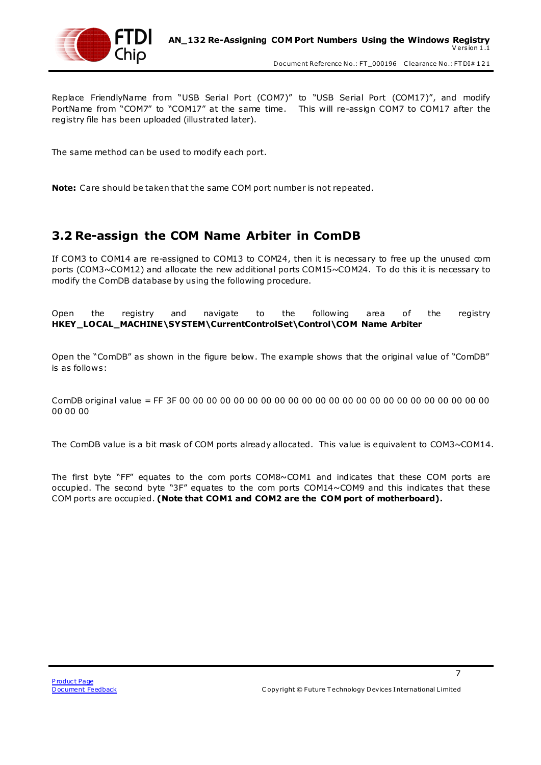

Replace FriendlyName from "USB Serial Port (COM7)" to "USB Serial Port (COM17)", and modify PortName from "COM7" to "COM17" at the same time. This will re-assign COM7 to COM17 after the registry file has been uploaded (illustrated later).

The same method can be used to modify each port.

**Note:** Care should be taken that the same COM port number is not repeated.

#### <span id="page-7-0"></span>**3.2 Re-assign the COM Name Arbiter in ComDB**

If COM3 to COM14 are re-assigned to COM13 to COM24, then it is necessary to free up the unused com ports (COM3~COM12) and allocate the new additional ports COM15~COM24. To do this it is necessary to modify the ComDB database by using the following procedure.

Open the registry and navigate to the following area of the registry **HKEY\_LOCAL\_MACHINE\SYSTEM\CurrentControlSet\Control\COM Name Arbiter**

Open the "ComDB" as shown in the figure below . The example shows that the original value of "ComDB" is as follows:

ComDB original value = FF 3F 00 00 00 00 00 00 00 00 00 00 00 00 00 00 00 00 00 00 00 00 00 00 00 00 00 00

The ComDB value is a bit mask of COM ports already allocated. This value is equivalent to COM3~COM14.

The first byte "FF" equates to the com ports COM8~COM1 and indicates that these COM ports are occupied. The second byte "3F" equates to the com ports COM14~COM9 and this indicates that these COM ports are occupied. **(Note that COM1 and COM2 are the COM port of motherboard).**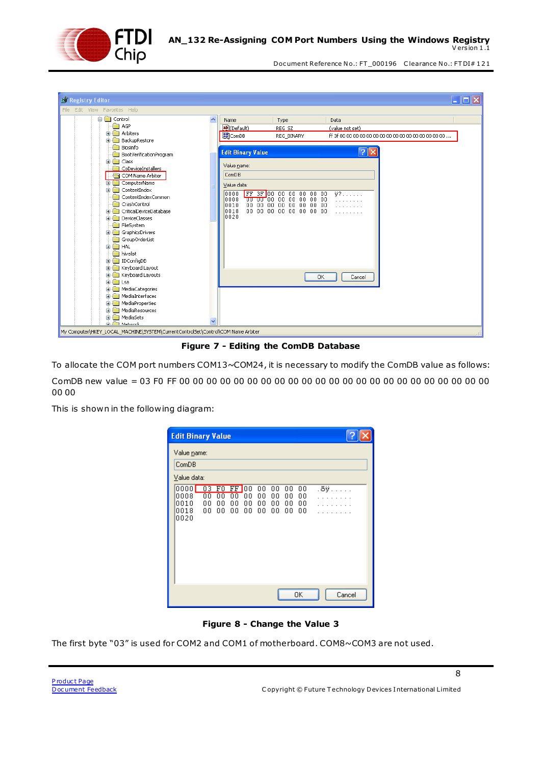

| <b>B</b> Registry Editor                                                         |                                             |                                                       | $\mathbf{L} \ \mathbf{L}\ $ X |
|----------------------------------------------------------------------------------|---------------------------------------------|-------------------------------------------------------|-------------------------------|
| Edit View Favorites Help<br>File                                                 |                                             |                                                       |                               |
| <b>E-Big</b> Control                                                             | Name                                        | Type                                                  | Data                          |
| AGP                                                                              | ab](Default)                                | REG SZ                                                | (value not set)               |
| Arbiters<br>$\blacksquare$                                                       | <b>BU</b> ComDB                             | REG_BINARY                                            |                               |
| BackupRestore<br>田                                                               |                                             |                                                       |                               |
| Biosinfo                                                                         | <b>Edit Binary Value</b>                    |                                                       | ? x                           |
| BootVerificationProgram<br><b>E</b> - <b>R</b> Class                             |                                             |                                                       |                               |
| CoDeviceInstallers                                                               | Value name:                                 |                                                       |                               |
| COM Name Arbiter                                                                 | ComD <sub>B</sub>                           |                                                       |                               |
| ComputerName<br>÷.                                                               |                                             |                                                       |                               |
| ContentIndex<br>$\blacksquare$                                                   | Value data:                                 |                                                       |                               |
| ContentIndexCommon                                                               | FF 3F 00<br>0000<br>0008                    | 00 00 00 00 00<br><del>"መ" መ"</del> 00 00 00 00 00 00 | $\overline{\mathbf{v}}$ ?     |
| CrashControl                                                                     | 10010<br>00 <sub>o</sub><br>00 <sub>1</sub> | 00 00 00 00 00 00                                     |                               |
| CriticalDeviceDatabase<br>田                                                      | 0018                                        | 00 00 00 00 00 00 00 00                               |                               |
| DeviceClasses<br>œ.                                                              | 0020                                        |                                                       |                               |
| FileSystem                                                                       |                                             |                                                       |                               |
| GraphicsDrivers<br>田                                                             |                                             |                                                       |                               |
| GroupOrderList                                                                   |                                             |                                                       |                               |
| <b>REAL</b> HAL<br>$\blacksquare$                                                |                                             |                                                       |                               |
| hivelist                                                                         |                                             |                                                       |                               |
| IDConfigDB<br>$\blacksquare$<br>Keyboard Layout                                  |                                             |                                                       |                               |
| $\blacksquare$<br>Keyboard Layouts<br><b>白 麟</b>                                 |                                             |                                                       |                               |
| <b>E E</b> Lsa                                                                   |                                             | 0K                                                    | Cancel                        |
| MediaCategories<br>田                                                             |                                             |                                                       |                               |
| MediaInterfaces<br>$\blacksquare$                                                |                                             |                                                       |                               |
| MediaProperties<br>Đ                                                             |                                             |                                                       |                               |
| MediaResources<br>Ŧ                                                              |                                             |                                                       |                               |
| MediaSets<br>Ð                                                                   |                                             |                                                       |                               |
| <b>Committee Matterpro</b>                                                       |                                             |                                                       |                               |
| My Computer\HKEY_LOCAL_MACHINE\SYSTEM\CurrentControlSet\Control\COM Name Arbiter |                                             |                                                       |                               |

**Figure 7 - Editing the ComDB Database**

<span id="page-8-0"></span>To allocate the COM port numbers COM13~COM24, it is necessary to modify the ComDB value as follows: ComDB new value = 03 F0 FF 00 00 00 00 00 00 00 00 00 00 00 00 00 00 00 00 00 00 00 00 00 00 00 00 00

This is shown in the following diagram:

| <b>Edit Binary Value</b>                                                                                                                                                                                                                                                 |
|--------------------------------------------------------------------------------------------------------------------------------------------------------------------------------------------------------------------------------------------------------------------------|
| Value name:<br>ComDB<br>Value data:                                                                                                                                                                                                                                      |
| $0000$ $\Box$<br>03<br>.ðÿ<br>$_{\rm F0}$<br>FF 100<br>00<br>00<br>00<br>00<br>0008<br>$\overline{00}$<br>00<br>00<br>00<br>00<br>00<br>00<br>۵O<br>0010<br>00<br>00<br>00<br>00<br>00<br>00<br>00<br>00<br>0018<br>00<br>00<br>00<br>00<br>00<br>00<br>00<br>00<br>0020 |
| 0K<br>Cancel                                                                                                                                                                                                                                                             |

**Figure 8 - Change the Value 3**

<span id="page-8-1"></span>The first byte "03" is used for COM2 and COM1 of motherboard. COM8~COM3 are not used.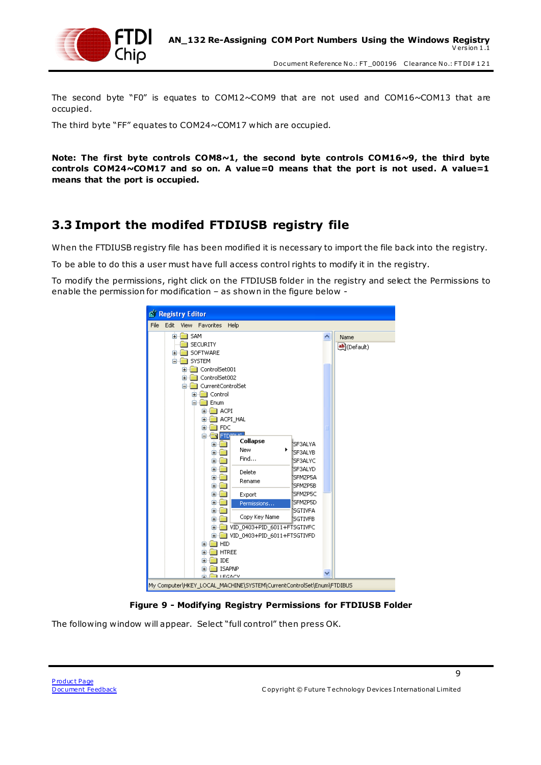

The second byte "F0" is equates to COM12~COM9 that are not used and COM16~COM13 that are occupied.

The third byte "FF" equates to COM24~COM17 which are occupied.

**Note: The first byte controls COM8~1, the second byte controls COM16~9, the third byte controls COM24~COM17 and so on. A value=0 means that the port is not used. A value=1 means that the port is occupied.**

#### <span id="page-9-0"></span>**3.3 Import the modifed FTDIUSB registry file**

When the FTDIUSB registry file has been modified it is necessary to import the file back into the registry.

To be able to do this a user must have full access control rights to modify it in the registry.

To modify the permissions, right click on the FTDIUSB folder in the registry and select the Permissions to enable the permission for modification – as shown in the figure below -



**Figure 9 - Modifying Registry Permissions for FTDIUSB Folder**

<span id="page-9-1"></span>The following window will appear. Select "full control" then press OK.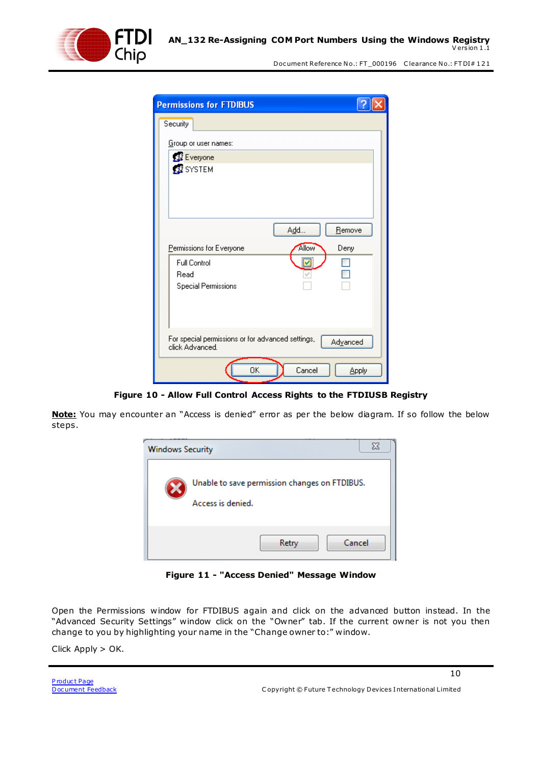

| <b>Permissions for FTDIBUS</b>                                                   |
|----------------------------------------------------------------------------------|
| Security                                                                         |
| Group or user names:                                                             |
| <b>12</b> Everyone                                                               |
| <b>B</b> SYSTEM                                                                  |
| Add<br>Remove                                                                    |
| <b>Allow</b><br>Permissions for Everyone<br>Deny                                 |
| <b>Full Control</b><br>M                                                         |
| Read                                                                             |
| <b>Special Permissions</b>                                                       |
| For special permissions or for advanced settings,<br>Advanced<br>click Advanced. |
| 0K<br>Cancel<br>Apply                                                            |

**Figure 10 - Allow Full Control Access Rights to the FTDIUSB Registry**

<span id="page-10-0"></span>**Note:** You may encounter an "Access is denied" error as per the below diagram. If so follow the below steps.



**Figure 11 - "Access Denied" Message Window**

<span id="page-10-1"></span>Open the Permissions window for FTDIBUS again and click on the advanced button instead. In the "Advanced Security Settings" window click on the "Owner" tab. If the current owner is not you then change to you by highlighting your name in the "Change owner to:" window.

Click Apply > OK.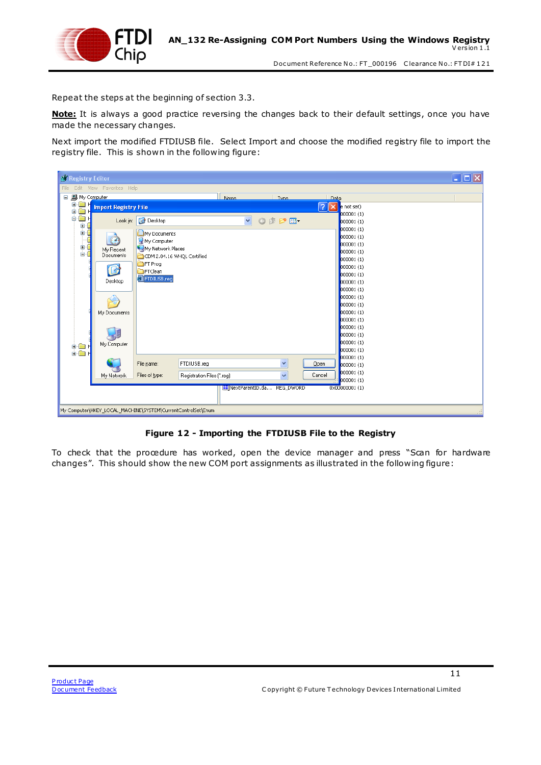

Repeat the steps at the beginning of section 3.3.

**Note:** It is always a good practice reversing the changes back to their default settings, once you have made the necessary changes.

Next import the modified FTDIUSB file. Select Import and choose the modified registry file to import the registry file. This is shown in the following figure:

| <b>B</b> Registry Editor                                                                           | $\Box$ o $\times$ |
|----------------------------------------------------------------------------------------------------|-------------------|
| Edit View Favorites Help<br>File                                                                   |                   |
| <b>图</b> My Computer<br>Ξ<br>Name.<br>Tyne<br>Data                                                 |                   |
| ė.<br><b>Read H</b><br>?।<br>$\times$ e not set)<br><b>Import Registry File</b><br>È               |                   |
| ė<br>000001(1)<br>ė.<br><b>B</b> Desktop<br>Look in:                                               |                   |
| $\checkmark$<br>○まび田<br>000001 (1)<br>000001 (1)                                                   |                   |
| My Documents<br>000001(1)                                                                          |                   |
| B<br>My Computer<br>000001(1)                                                                      |                   |
| İ<br>My Network Places<br>My Recent<br>000001(1)<br>ī<br><b>Documents</b>                          |                   |
| CDM 2.04.16 WHQL Certified<br>000001(1)                                                            |                   |
| <b>OFT</b> Prog<br>000001(1)<br>$\mathbf{B}$<br><b>Exercised</b>                                   |                   |
| 000001(1)<br>FTDIUSB.reg                                                                           |                   |
| Desktop<br>000001(1)<br>000001(1)                                                                  |                   |
| 000001(1)                                                                                          |                   |
| 000001(1)                                                                                          |                   |
| 000001(1)<br>My Documents                                                                          |                   |
| 000001(1)                                                                                          |                   |
| 000001(1)                                                                                          |                   |
| 000001(1)                                                                                          |                   |
| 000001(1)<br>My Computer                                                                           |                   |
| ê <mark>ê h</mark><br>000001(1)                                                                    |                   |
| 000001 (1)<br>Y<br>FTDIUSB.reg<br>Qpen<br>File name:<br>000001 (1)                                 |                   |
| 000001 (1)                                                                                         |                   |
| $\checkmark$<br>Cancel<br>Files of type:<br>Registration Files (*.reg)<br>My Network<br>000001 (1) |                   |
| http://www.news.com/mextParentID.da REG_DWORD<br>0x00000001(1)                                     |                   |
|                                                                                                    |                   |
| My Computer\HKEY_LOCAL_MACHINE\SYSTEM\CurrentControlSet\Enum                                       |                   |

#### **Figure 12 - Importing the FTDIUSB File to the Registry**

<span id="page-11-0"></span>To check that the procedure has worked, open the device manager and press "Scan for hardware changes". This should show the new COM port assignments as illustrated in the following figure: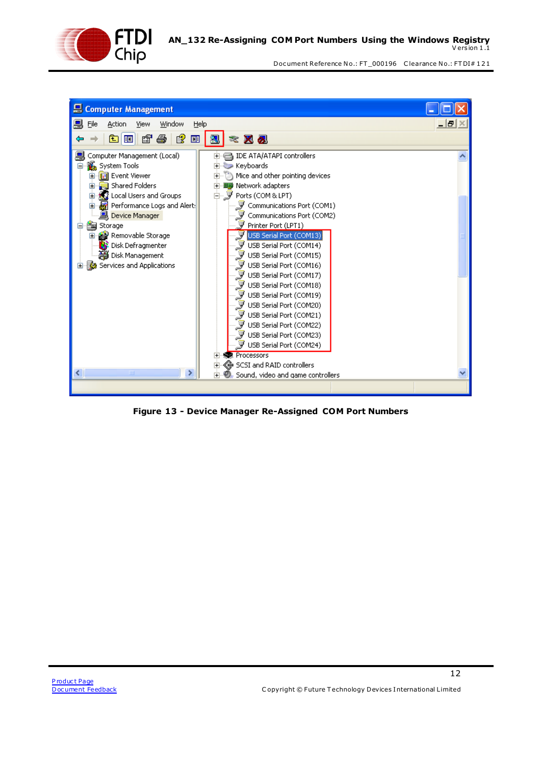



<span id="page-12-0"></span>**Figure 13 - Device Manager Re-Assigned COM Port Numbers**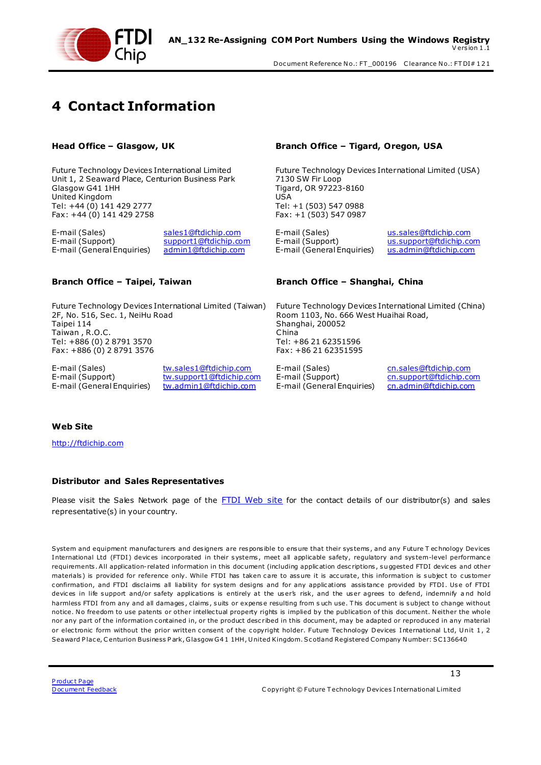

## <span id="page-13-0"></span>**4 Contact Information**

Future Technology Devices International Limited Unit 1, 2 Seaward Place, Centurion Business Park Glasgow G41 1HH United Kingdom Tel: +44 (0) 141 429 2777 Fax: +44 (0) 141 429 2758

E-mail (Support) [support1@ftdichip.com](mailto:support1@ftdichip.com) E-mail (Support) [us.support@ftdichip.com](mailto:us.support@ftdichip.com)<br>E-mail (General Enquiries) admin1@ftdichip.com E-mail (General Enquiries) us.admin@ftdichip.com E-mail (General Enquiries) [admin1@ftdichip.com](mailto:admin1@ftdichip.com) E-mail (General Enquiries) [us.admin@ftdichip.com](mailto:us.admin@ftdichip.com)

Future Technology Devices International Limited (Taiwan) 2F, No. 516, Sec. 1, NeiHu Road Taipei 114 Taiwan , R.O.C. Tel: +886 (0) 2 8791 3570 Fax: +886 (0) 2 8791 3576

E-mail (Sales) [tw.sales1@ftdichip.com](mailto:tw.sales1@ftdichip.com) E-mail (Sales) [cn.sales@ftdichip.com](mailto:cn.sales@ftdichip.com) E-mail (Support) [tw.support1@ftdichip.com](mailto:tw.support1@ftdichip.com) E-mail (Support) [cn.support@ftdichip.com](mailto:cn.support@ftdichip.com)<br>E-mail (General Enquiries) tw.admin1@ftdichip.com E-mail (General Enquiries) cn.admin@ftdichip.com

#### **Head Office – Glasgow, UK Branch Office – Tigard, Oregon, USA**

Future Technology Devices International Limited (USA) 7130 SW Fir Loop Tigard, OR 97223-8160 USA Tel: +1 (503) 547 0988 Fax: +1 (503) 547 0987

E-mail (Sales) [sales1@ftdichip.com](mailto:sales1@ftdichip.com) E-mail (Sales) [us.sales@ftdichip.com](mailto:us.sales@ftdichip.com)

#### **Branch Office – Taipei, Taiwan Branch Office – Shanghai, China**

Future Technology Devices International Limited (China) Room 1103, No. 666 West Huaihai Road, Shanghai, 200052 China Tel: +86 21 62351596 Fax: +86 21 62351595

E-mail (General Enquiries) [cn.admin@ftdichip.com](mailto:cn.admin@ftdichip.com)

#### **Web Site**

[http://ftdichip.com](http://ftdichip.com/)

#### **Distributor and Sales Representatives**

Please visit the Sales Network page of the [FTDI Web site](http://ftdichip.com/) for the contact details of our distributor(s) and sales representative(s) in your country.

System and equipment manufac turers and des igners are res pons ible to ens ure that their sys tems , and any Future T ec hnology Devices International Ltd (FTDI) devices incorporated in their systems, meet all applicable safety, regulatory and system-level performance requirements. All application-related information in this document (including application descriptions, suggested FTDI devices and other materials) is provided for reference only. While FTDI has taken care to assure it is accurate, this information is subject to customer confirmation, and FTDI disclaims all liability for system designs and for any applications assistance provided by FTDI. Use of FTDI devices in life support and/or safety applications is entirely at the user's risk, and the user agrees to defend, indemnify and hold harmless FTDI from any and all damages, claims, suits or expense resulting from such use. This document is subject to change without notice. No freedom to use patents or other intellectual property rights is implied by the publication of this document. Neither the whole nor any part of the information contained in, or the product described in this document, may be adapted or reproduced in any material or electronic form without the prior written consent of the copyright holder. Future Technology Devices International Ltd, Unit 1, 2 Seaward Place, Centurion Business Park, Glasgow G41 1HH, United Kingdom. Scotland Registered Company Number: SC136640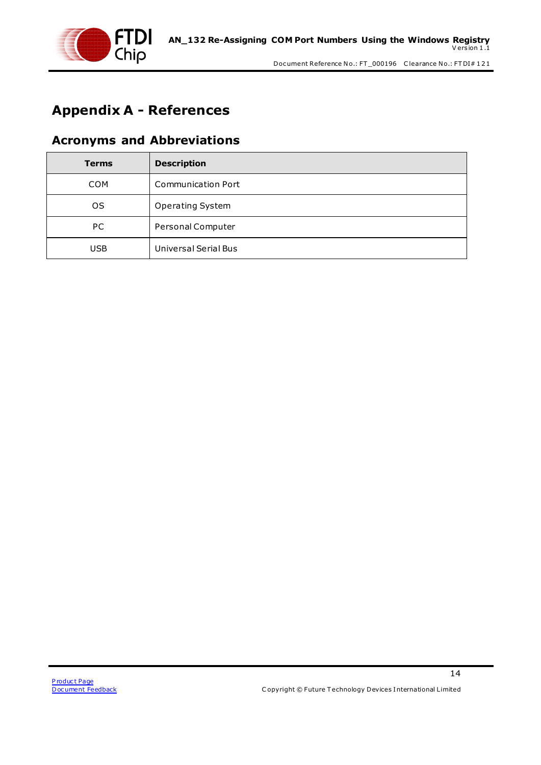

## <span id="page-14-0"></span>**Appendix A - References**

#### <span id="page-14-1"></span>**Acronyms and Abbreviations**

| <b>Terms</b> | <b>Description</b>        |
|--------------|---------------------------|
| <b>COM</b>   | <b>Communication Port</b> |
| <b>OS</b>    | <b>Operating System</b>   |
| PC.          | Personal Computer         |
| <b>USB</b>   | Universal Serial Bus      |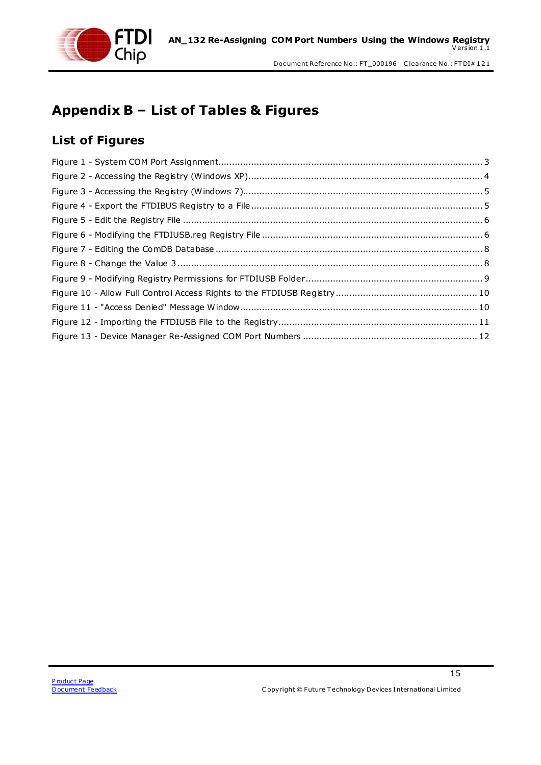

## <span id="page-15-0"></span>**Appendix B – List of Tables & Figures**

### <span id="page-15-1"></span>**List of Figures**